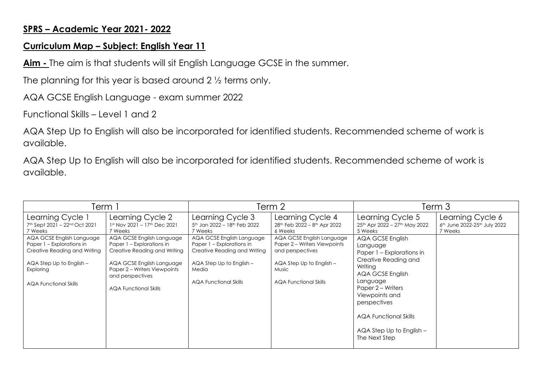## **SPRS – Academic Year 2021- 2022**

## **Curriculum Map – Subject: English Year 11**

**Aim -** The aim is that students will sit English Language GCSE in the summer.

The planning for this year is based around 2 ½ terms only.

AQA GCSE English Language - exam summer 2022

Functional Skills – Level 1 and 2

AQA Step Up to English will also be incorporated for identified students. Recommended scheme of work is available.

AQA Step Up to English will also be incorporated for identified students. Recommended scheme of work is available.

| Ferm i                                                                                                                                                          |                                                                                                                                                                                                         | Term 2                                                                                                                                                          |                                                                                                                                                           | Term 3                                                                                                                                                                                                                                                               |                                                                                     |
|-----------------------------------------------------------------------------------------------------------------------------------------------------------------|---------------------------------------------------------------------------------------------------------------------------------------------------------------------------------------------------------|-----------------------------------------------------------------------------------------------------------------------------------------------------------------|-----------------------------------------------------------------------------------------------------------------------------------------------------------|----------------------------------------------------------------------------------------------------------------------------------------------------------------------------------------------------------------------------------------------------------------------|-------------------------------------------------------------------------------------|
| Learning Cycle 1<br>7th Sept 2021 - 22nd Oct 2021<br>7 Weeks                                                                                                    | Learning Cycle 2<br>1st Nov 2021 - 17th Dec 2021<br>7 Weeks                                                                                                                                             | Learning Cycle 3<br>5 <sup>th</sup> Jan 2022 - 18 <sup>th</sup> Feb 2022<br>7 Weeks                                                                             | Learning Cycle 4<br>28 <sup>th</sup> Feb 2022 - 8 <sup>th</sup> Apr 2022<br>6 Weeks                                                                       | Learning Cycle 5<br>25th Apr 2022 - 27th May 2022<br>5 Weeks                                                                                                                                                                                                         | Learning Cycle 6<br>6 <sup>th</sup> June 2022-25 <sup>th</sup> July 2022<br>7 Weeks |
| AQA GCSE English Language<br>Paper 1 – Explorations in<br>Creative Reading and Writing<br>AQA Step Up to English -<br>Exploring<br><b>AQA Functional Skills</b> | AQA GCSE English Language<br>Paper 1 - Explorations in<br>Creative Reading and Writing<br>AQA GCSE English Language<br>Paper 2 – Writers Viewpoints<br>and perspectives<br><b>AQA Functional Skills</b> | AQA GCSE English Language<br>Paper 1 - Explorations in<br>Creative Reading and Writing<br>$AQA$ Step Up to English $-$<br>Media<br><b>AQA Functional Skills</b> | AQA GCSE English Language<br>Paper 2 – Writers Viewpoints<br>and perspectives<br>AQA Step Up to English -<br><b>Music</b><br><b>AQA Functional Skills</b> | AQA GCSE English<br>Language<br>Paper 1 – Explorations in<br>Creative Reading and<br>Writing<br>AQA GCSE English<br>Language<br>Paper 2 – Writers<br>Viewpoints and<br>perspectives<br><b>AQA Functional Skills</b><br>$AQA$ Step Up to English $-$<br>The Next Step |                                                                                     |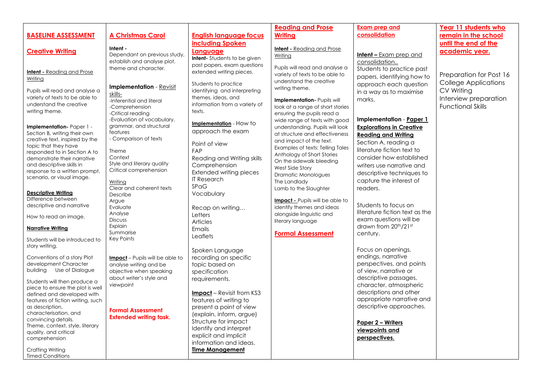|                                                                  |                                        |                                     | <b>Reading and Prose</b>                      | <b>Exam prep and</b>            | Year 11 students who        |
|------------------------------------------------------------------|----------------------------------------|-------------------------------------|-----------------------------------------------|---------------------------------|-----------------------------|
| <b>BASELINE ASSESSMENT</b>                                       | <b>A Christmas Carol</b>               | <b>English language focus</b>       | <b>Writing</b>                                | consolidation                   | remain in the school        |
|                                                                  |                                        | including Spoken                    |                                               |                                 | until the end of the        |
|                                                                  | Intent -                               |                                     | <b>Intent</b> - Reading and Prose             |                                 |                             |
| <b>Creative Writing</b>                                          | Dependant on previous study,           | Language                            | Writing                                       | <b>Intent –</b> Exam prep and   | academic year.              |
|                                                                  | establish and analyse plot,            | <b>Intent-</b> Students to be given |                                               | consolidation                   |                             |
|                                                                  | theme and character.                   | past papers, exam questions         | Pupils will read and analyse a                | Students to practice past       |                             |
| <b>Intent</b> - Reading and Prose                                |                                        | extended writing pieces.            | variety of texts to be able to                |                                 | Preparation for Post 16     |
| Writing                                                          |                                        |                                     | understand the creative                       | papers, identifying how to      |                             |
|                                                                  | <b>Implementation</b> - Revisit        | Students to practice                | writing theme.                                | approach each question          | <b>College Applications</b> |
| Pupils will read and analyse a                                   | <u>skills-</u>                         | identifying and interpreting        |                                               | in a way as to maximise         | CV Writing                  |
| variety of texts to be able to                                   | -Inferential and literal               | themes, ideas, and                  | Implementation- Pupils will                   | marks.                          | Interview preparation       |
| understand the creative                                          | -Comprehension                         | information from a variety of       | look at a range of short stories              |                                 | <b>Functional Skills</b>    |
| writing theme.                                                   | -Critical reading                      | texts.                              | ensuring the pupils read a                    |                                 |                             |
|                                                                  | -Evaluation of vocabulary,             |                                     | wide range of texts with good                 | Implementation - Paper 1        |                             |
| Implementation-Paper 1 -                                         | grammar, and structural                | Implementation - How to             | understanding. Pupils will look               | <b>Explorations in Creative</b> |                             |
| Section B, writing their own                                     | features                               | approach the exam                   | at structure and effectiveness                | <b>Reading and Writing</b>      |                             |
| creative text, inspired by the                                   | - Comparison of texts                  |                                     | and impact of the text.                       |                                 |                             |
| topic that they have                                             |                                        | Point of view                       | Examples of texts: Telling Tales              | Section A, reading a            |                             |
| responded to in Section A to                                     | Theme                                  | FAP                                 | Anthology of Short Stories                    | literature fiction text to      |                             |
| demonstrate their narrative                                      | Context                                | Reading and Writing skills          | On the sidewalk bleeding                      | consider how established        |                             |
| and descriptive skills in                                        | Style and literary quality             | Comprehension                       |                                               | writers use narrative and       |                             |
| response to a written prompt,                                    | Critical comprehension                 | Extended writing pieces             | West Side Story<br><b>Dramatic Monologues</b> | descriptive techniques to       |                             |
| scenario, or visual image.                                       |                                        | <b>IT Research</b>                  |                                               | capture the interest of         |                             |
|                                                                  | Writing<br>Clear and coherent texts    | <b>SPaG</b>                         | The Landlady                                  |                                 |                             |
| <b>Descriptive Writing</b>                                       | Describe                               | Vocabulary                          | Lamb to the Slaughter                         | readers.                        |                             |
| Difference between                                               | Argue                                  |                                     | <b>Impact</b> - Pupils will be able to        |                                 |                             |
| descriptive and narrative                                        | Evaluate                               | Recap on writing                    | identify themes and ideas                     | Students to focus on            |                             |
|                                                                  | Analyse                                |                                     | alongside linguistic and                      | literature fiction text as the  |                             |
| How to read an image.                                            | <b>Discuss</b>                         | Letters                             | literary language                             | exam questions will be          |                             |
|                                                                  | Explain                                | <b>Articles</b>                     |                                               | drawn from 20th/21st            |                             |
| <b>Narrative Writing</b>                                         | Summarise                              | Emails                              | <b>Formal Assessment</b>                      | century.                        |                             |
| Students will be introduced to                                   | <b>Key Points</b>                      | Leaflets                            |                                               |                                 |                             |
| story writing.                                                   |                                        |                                     |                                               |                                 |                             |
|                                                                  |                                        | Spoken Language                     |                                               | Focus on openings,              |                             |
| Conventions of a story Plot                                      | <b>Impact</b> - Pupils will be able to | recording on specific               |                                               | endings, narrative              |                             |
| development Character                                            | analyse writing and be                 | topic based on                      |                                               | perspectives, and points        |                             |
| Use of Dialogue<br>building                                      | objective when speaking                | specification                       |                                               | of view, narrative or           |                             |
|                                                                  | about writer's style and               | requirements.                       |                                               | descriptive passages,           |                             |
| Students will then produce a<br>piece to ensure the plot is well | viewpoint                              |                                     |                                               | character, atmospheric          |                             |
| defined and developed with                                       |                                        | <b>Impact</b> – Revisit from KS3    |                                               | descriptions and other          |                             |
| features of fiction writing, such                                |                                        | features of writing to              |                                               | appropriate narrative and       |                             |
| as description,                                                  |                                        | present a point of view             |                                               | descriptive approaches.         |                             |
| characterisation, and                                            | <b>Formal Assessment</b>               | (explain, inform, argue)            |                                               |                                 |                             |
| convincing details.                                              | <b>Extended writing task.</b>          |                                     |                                               |                                 |                             |
| Theme, context, style, literary                                  |                                        | Structure for impact                |                                               | Paper 2 - Writers               |                             |
| quality, and critical                                            |                                        | Identify and interpret              |                                               | viewpoints and                  |                             |
| comprehension                                                    |                                        | explicit and implicit               |                                               | perspectives.                   |                             |
|                                                                  |                                        | information and ideas.              |                                               |                                 |                             |
| Crafting Writing                                                 |                                        | <b>Time Management</b>              |                                               |                                 |                             |

Timed Conditions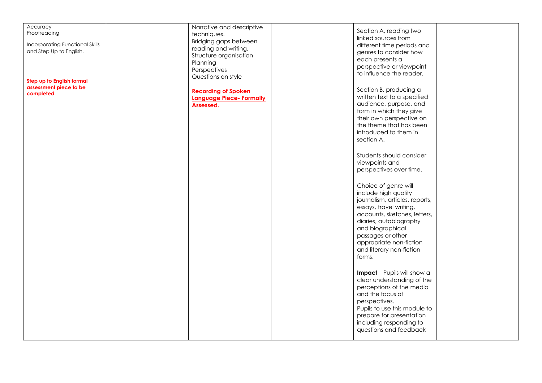| Accuracy<br>Proofreading<br><b>Incorporating Functional Skills</b><br>and Step Up to English.<br>Step up to English formal<br>assessment piece to be<br>completed. | Narrative and descriptive<br>techniques.<br>Bridging gaps between<br>reading and writing.<br>Structure organisation<br>Planning<br>Perspectives<br>Questions on style<br><b>Recording of Spoken</b><br>Language Piece- Formally<br><b>Assessed.</b> | Section A, reading two<br>linked sources from<br>different time periods and<br>genres to consider how<br>each presents a<br>perspective or viewpoint<br>to influence the reader.<br>Section B, producing a<br>written text to a specified<br>audience, purpose, and<br>form in which they give<br>their own perspective on<br>the theme that has been<br>introduced to them in<br>section A.<br>Students should consider<br>viewpoints and<br>perspectives over time.<br>Choice of genre will<br>include high quality<br>journalism, articles, reports,<br>essays, travel writing,<br>accounts, sketches, letters,<br>diaries, autobiography<br>and biographical<br>passages or other<br>appropriate non-fiction<br>and literary non-fiction<br>forms.<br>Impact - Pupils will show a |  |
|--------------------------------------------------------------------------------------------------------------------------------------------------------------------|-----------------------------------------------------------------------------------------------------------------------------------------------------------------------------------------------------------------------------------------------------|---------------------------------------------------------------------------------------------------------------------------------------------------------------------------------------------------------------------------------------------------------------------------------------------------------------------------------------------------------------------------------------------------------------------------------------------------------------------------------------------------------------------------------------------------------------------------------------------------------------------------------------------------------------------------------------------------------------------------------------------------------------------------------------|--|
|                                                                                                                                                                    |                                                                                                                                                                                                                                                     |                                                                                                                                                                                                                                                                                                                                                                                                                                                                                                                                                                                                                                                                                                                                                                                       |  |
|                                                                                                                                                                    |                                                                                                                                                                                                                                                     | clear understanding of the<br>perceptions of the media<br>and the focus of<br>perspectives.<br>Pupils to use this module to<br>prepare for presentation<br>including responding to<br>questions and feedback                                                                                                                                                                                                                                                                                                                                                                                                                                                                                                                                                                          |  |